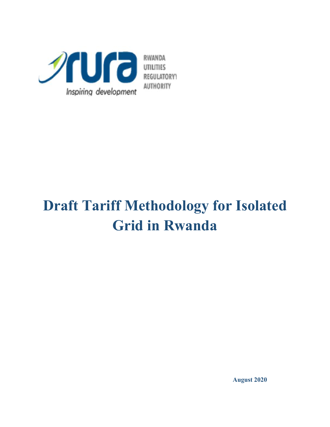

# **Draft Tariff Methodology for Isolated Grid in Rwanda**

**August 2020**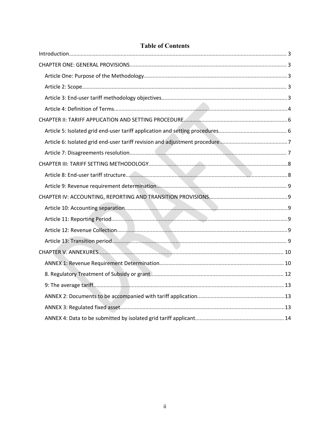# **Table of Contents**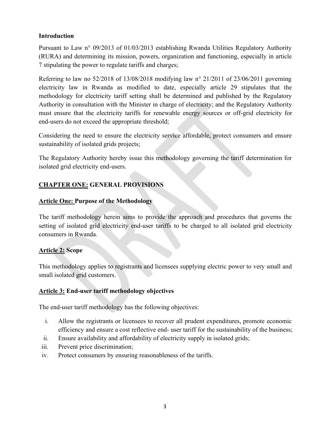#### <span id="page-2-0"></span>**Introduction**

Pursuant to Law n° 09/2013 of 01/03/2013 establishing Rwanda Utilities Regulatory Authority (RURA) and determining its mission, powers, organization and functioning, especially in article 7 stipulating the power to regulate tariffs and charges;

Referring to law no  $52/2018$  of  $13/08/2018$  modifying law n° 21/2011 of 23/06/2011 governing electricity law in Rwanda as modified to date, especially article 29 stipulates that the methodology for electricity tariff setting shall be determined and published by the Regulatory Authority in consultation with the Minister in charge of electricity; and the Regulatory Authority must ensure that the electricity tariffs for renewable energy sources or off-grid electricity for end-users do not exceed the appropriate threshold;

Considering the need to ensure the electricity service affordable, protect consumers and ensure sustainability of isolated grids projects;

The Regulatory Authority hereby issue this methodology governing the tariff determination for isolated grid electricity end-users.

# <span id="page-2-1"></span>**CHAPTER ONE: GENERAL PROVISIONS**

#### <span id="page-2-2"></span>**Article One: Purpose of the Methodology**

The tariff methodology herein aims to provide the approach and procedures that governs the setting of isolated grid electricity end-user tariffs to be charged to all isolated grid electricity consumers in Rwanda.

#### <span id="page-2-3"></span>**Article 2: Scope**

This methodology applies to registrants and licensees supplying electric power to very small and small isolated grid customers.

#### <span id="page-2-4"></span>**Article 3: End-user tariff methodology objectives**

The end-user tariff methodology has the following objectives:

- i. Allow the registrants or licensees to recover all prudent expenditures, promote economic efficiency and ensure a cost reflective end-user tariff for the sustainability of the business;
- ii. Ensure availability and affordability of electricity supply in isolated grids;
- iii. Prevent price discrimination;
- iv. Protect consumers by ensuring reasonableness of the tariffs.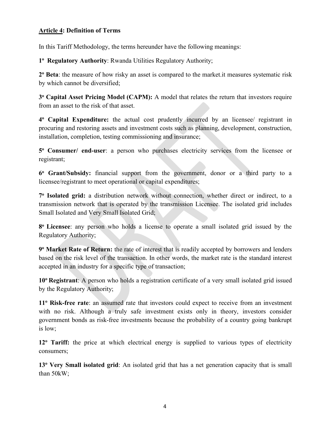#### <span id="page-3-0"></span>**Article 4: Definition of Terms**

In this Tariff Methodology, the terms hereunder have the following meanings:

**1 <sup>o</sup> Regulatory Authority**: Rwanda Utilities Regulatory Authority;

**2 <sup>o</sup> Beta**: the measure of how risky an asset is compared to the market.it measures systematic risk by which cannot be diversified;

**3 <sup>o</sup> Capital Asset Pricing Model (CAPM):** A model that relates the return that investors require from an asset to the risk of that asset.

**4 <sup>o</sup> Capital Expenditure:** the actual cost prudently incurred by an licensee/ registrant in procuring and restoring assets and investment costs such as planning, development, construction, installation, completion, testing commissioning and insurance;

**5 <sup>o</sup> Consumer/ end-user**: a person who purchases electricity services from the licensee or registrant;

**6 <sup>o</sup> Grant/Subsidy:** financial support from the government, donor or a third party to a licensee/registrant to meet operational or capital expenditures;

**7 <sup>o</sup> Isolated grid:** a distribution network without connection, whether direct or indirect, to a transmission network that is operated by the transmission Licensee. The isolated grid includes Small Isolated and Very Small Isolated Grid;

**8 <sup>o</sup> Licensee**: any person who holds a license to operate a small isolated grid issued by the Regulatory Authority;

**9 <sup>o</sup> Market Rate of Return:** the rate of interest that is readily accepted by borrowers and lenders based on the risk level of the transaction. In other words, the market rate is the standard interest accepted in an industry for a specific type of transaction;

10<sup>°</sup> Registrant: A person who holds a registration certificate of a very small isolated grid issued by the Regulatory Authority;

**11 <sup>o</sup> Risk-free rate**: an assumed rate that investors could expect to receive from an investment with no risk. Although a truly safe investment exists only in theory, investors consider government bonds as risk-free investments because the probability of a country going bankrupt is low;

**12 <sup>o</sup> Tariff:** the price at which electrical energy is supplied to various types of electricity consumers;

**13 <sup>o</sup> Very Small isolated grid**: An isolated grid that has a net generation capacity that is small than 50kW;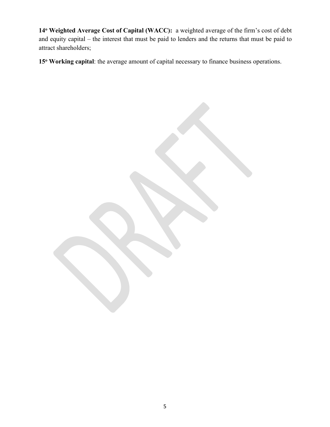**14 <sup>o</sup> Weighted Average Cost of Capital (WACC):** a weighted average of the firm's cost of debt and equity capital – the interest that must be paid to lenders and the returns that must be paid to attract shareholders;

15<sup>°</sup> Working capital: the average amount of capital necessary to finance business operations.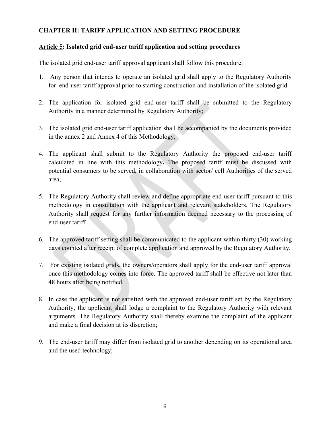#### <span id="page-5-0"></span>**CHAPTER II: TARIFF APPLICATION AND SETTING PROCEDURE**

#### <span id="page-5-1"></span>**Article 5: Isolated grid end-user tariff application and setting procedures**

The isolated grid end-user tariff approval applicant shall follow this procedure:

- 1. Any person that intends to operate an isolated grid shall apply to the Regulatory Authority for end-user tariff approval prior to starting construction and installation of the isolated grid.
- 2. The application for isolated grid end-user tariff shall be submitted to the Regulatory Authority in a manner determined by Regulatory Authority;
- 3. The isolated grid end-user tariff application shall be accompanied by the documents provided in the annex 2 and Annex 4 of this Methodology;
- 4. The applicant shall submit to the Regulatory Authority the proposed end-user tariff calculated in line with this methodology**.** The proposed tariff must be discussed with potential consumers to be served, in collaboration with sector/ cell Authorities of the served area;
- 5. The Regulatory Authority shall review and define appropriate end-user tariff pursuant to this methodology in consultation with the applicant and relevant stakeholders. The Regulatory Authority shall request for any further information deemed necessary to the processing of end-user tariff.
- 6. The approved tariff setting shall be communicated to the applicant within thirty (30) working days counted after receipt of complete application and approved by the Regulatory Authority.
- 7. For existing isolated grids, the owners/operators shall apply for the end-user tariff approval once this methodology comes into force. The approved tariff shall be effective not later than 48 hours after being notified.
- 8. In case the applicant is not satisfied with the approved end-user tariff set by the Regulatory Authority, the applicant shall lodge a complaint to the Regulatory Authority with relevant arguments. The Regulatory Authority shall thereby examine the complaint of the applicant and make a final decision at its discretion;
- 9. The end-user tariff may differ from isolated grid to another depending on its operational area and the used technology;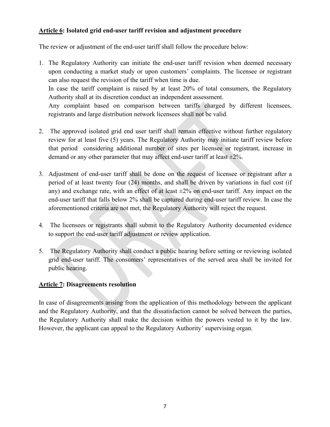#### <span id="page-6-0"></span>**Article 6: Isolated grid end-user tariff revision and adjustment procedure**

The review or adjustment of the end-user tariff shall follow the procedure below:

- 1. The Regulatory Authority can initiate the end-user tariff revision when deemed necessary upon conducting a market study or upon customers' complaints. The licensee or registrant can also request the revision of the tariff when time is due. In case the tariff complaint is raised by at least 20% of total consumers, the Regulatory Authority shall at its discretion conduct an independent assessment. Any complaint based on comparison between tariffs charged by different licensees, registrants and large distribution network licensees shall not be valid.
- 2. The approved isolated grid end user tariff shall remain effective without further regulatory review for at least five (5) years. The Regulatory Authority may initiate tariff review before that period considering additional number of sites per licensee or registrant, increase in demand or any other parameter that may affect end-user tariff at least  $\pm 2\%$ .
- 3. Adjustment of end-user tariff shall be done on the request of licensee or registrant after a period of at least twenty four (24) months, and shall be driven by variations in fuel cost (if any) and exchange rate, with an effect of at least  $\pm 2\%$  on end-user tariff. Any impact on the end-user tariff that falls below 2% shall be captured during end-user tariff review. In case the aforementioned criteria are not met, the Regulatory Authority will reject the request.
- 4. The licensees or registrants shall submit to the Regulatory Authority documented evidence to support the end-user tariff adjustment or review application.
- 5. The Regulatory Authority shall conduct a public hearing before setting or reviewing isolated grid end-user tariff. The consumers' representatives of the served area shall be invited for public hearing.

## <span id="page-6-1"></span>**Article 7: Disagreements resolution**

In case of disagreements arising from the application of this methodology between the applicant and the Regulatory Authority, and that the dissatisfaction cannot be solved between the parties, the Regulatory Authority shall make the decision within the powers vested to it by the law. However, the applicant can appeal to the Regulatory Authority' supervising organ.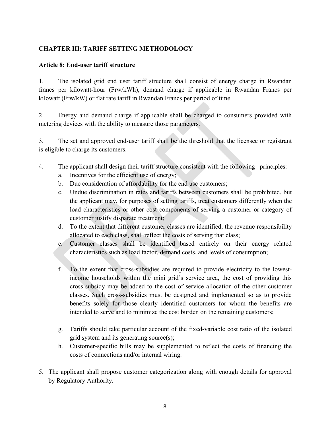### <span id="page-7-0"></span>**CHAPTER III: TARIFF SETTING METHODOLOGY**

#### <span id="page-7-1"></span>**Article 8: End-user tariff structure**

1. The isolated grid end user tariff structure shall consist of energy charge in Rwandan francs per kilowatt-hour (Frw/kWh), demand charge if applicable in Rwandan Francs per kilowatt (Frw/kW) or flat rate tariff in Rwandan Francs per period of time.

2. Energy and demand charge if applicable shall be charged to consumers provided with metering devices with the ability to measure those parameters.

3. The set and approved end-user tariff shall be the threshold that the licensee or registrant is eligible to charge its customers.

- 4. The applicant shall design their tariff structure consistent with the following principles:
	- a. Incentives for the efficient use of energy;
	- b. Due consideration of affordability for the end use customers;
	- c. Undue discrimination in rates and tariffs between customers shall be prohibited, but the applicant may, for purposes of setting tariffs, treat customers differently when the load characteristics or other cost components of serving a customer or category of customer justify disparate treatment;
	- d. To the extent that different customer classes are identified, the revenue responsibility allocated to each class, shall reflect the costs of serving that class;
	- e. Customer classes shall be identified based entirely on their energy related characteristics such as load factor, demand costs, and levels of consumption;
	- f. To the extent that cross-subsidies are required to provide electricity to the lowestincome households within the mini grid's service area, the cost of providing this cross-subsidy may be added to the cost of service allocation of the other customer classes. Such cross-subsidies must be designed and implemented so as to provide benefits solely for those clearly identified customers for whom the benefits are intended to serve and to minimize the cost burden on the remaining customers;
	- g. Tariffs should take particular account of the fixed-variable cost ratio of the isolated grid system and its generating source(s);
	- h. Customer-specific bills may be supplemented to reflect the costs of financing the costs of connections and/or internal wiring.
- 5. The applicant shall propose customer categorization along with enough details for approval by Regulatory Authority.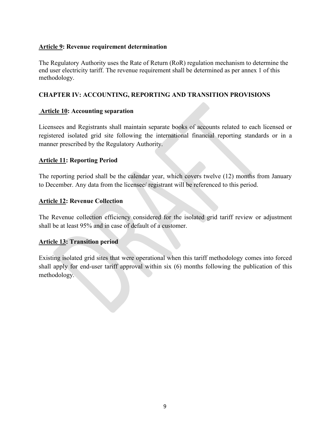#### <span id="page-8-0"></span>**Article 9: Revenue requirement determination**

The Regulatory Authority uses the Rate of Return (RoR) regulation mechanism to determine the end user electricity tariff. The revenue requirement shall be determined as per annex 1 of this methodology.

#### <span id="page-8-1"></span>**CHAPTER IV: ACCOUNTING, REPORTING AND TRANSITION PROVISIONS**

#### <span id="page-8-2"></span>**Article 10: Accounting separation**

Licensees and Registrants shall maintain separate books of accounts related to each licensed or registered isolated grid site following the international financial reporting standards or in a manner prescribed by the Regulatory Authority.

#### <span id="page-8-3"></span>**Article 11: Reporting Period**

The reporting period shall be the calendar year, which covers twelve (12) months from January to December. Any data from the licensee/ registrant will be referenced to this period.

#### <span id="page-8-4"></span>**Article 12: Revenue Collection**

The Revenue collection efficiency considered for the isolated grid tariff review or adjustment shall be at least 95% and in case of default of a customer.

#### <span id="page-8-5"></span>**Article 13: Transition period**

Existing isolated grid sites that were operational when this tariff methodology comes into forced shall apply for end-user tariff approval within six (6) months following the publication of this methodology.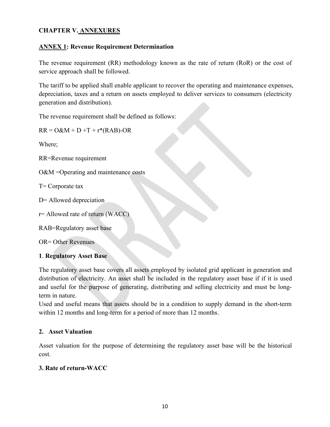# <span id="page-9-0"></span>**CHAPTER V. ANNEXURES**

#### <span id="page-9-1"></span>**ANNEX 1: Revenue Requirement Determination**

The revenue requirement (RR) methodology known as the rate of return (RoR) or the cost of service approach shall be followed.

The tariff to be applied shall enable applicant to recover the operating and maintenance expenses, depreciation, taxes and a return on assets employed to deliver services to consumers (electricity generation and distribution).

The revenue requirement shall be defined as follows:

 $RR = O&M + D + T + r*(RAB) - OR$ 

Where;

RR=Revenue requirement

O&M =Operating and maintenance costs

T= Corporate tax

D= Allowed depreciation

r= Allowed rate of return (WACC)

RAB=Regulatory asset base

OR= Other Revenues

#### **1**. **Regulatory Asset Base**

The regulatory asset base covers all assets employed by isolated grid applicant in generation and distribution of electricity. An asset shall be included in the regulatory asset base if if it is used and useful for the purpose of generating, distributing and selling electricity and must be longterm in nature.

Used and useful means that assets should be in a condition to supply demand in the short-term within 12 months and long-term for a period of more than 12 months.

#### **2. Asset Valuation**

Asset valuation for the purpose of determining the regulatory asset base will be the historical cost.

#### **3. Rate of return-WACC**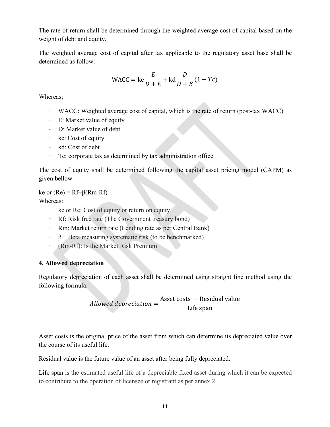The rate of return shall be determined through the weighted average cost of capital based on the weight of debt and equity.

The weighted average cost of capital after tax applicable to the regulatory asset base shall be determined as follow:

$$
\text{WACC} = \text{ke} \frac{E}{D+E} + \text{kd} \frac{D}{D+E} (1 - T_c)
$$

Whereas;

- WACC: Weighted average cost of capital, which is the rate of return (post-tax WACC)
- E: Market value of equity
- D: Market value of debt
- ke: Cost of equity
- kd: Cost of debt
- Tc: corporate tax as determined by tax administration office

The cost of equity shall be determined following the capital asset pricing model (CAPM) as given bellow

#### ke or  $(Re) = Rf + \beta(Rm - Rf)$

Whereas:

- ke or Re: Cost of equity or return on equity
- Rf: Risk free rate (The Government treasury bond)
- Rm: Market return rate (Lending rate as per Central Bank)
- $-$  β : Beta measuring systematic risk (to be benchmarked)
- (Rm-Rf): Is the Market Risk Premium

#### **4. Allowed depreciation**

Regulatory depreciation of each asset shall be determined using straight line method using the following formula:

$$
Allowed \, depreciation = \frac{Asset \, costs - Residual \, value}{Life \, span}
$$

Asset costs is the original price of the asset from which can determine its depreciated value over the course of its useful life.

Residual value is the future value of an asset after being fully depreciated.

Life span is the estimated useful life of a depreciable fixed asset during which it can be expected to contribute to the operation of licensee or registrant as per annex 2.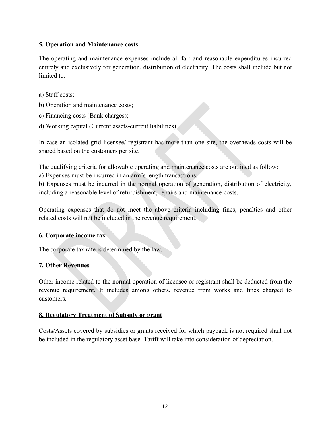#### **5. Operation and Maintenance costs**

The operating and maintenance expenses include all fair and reasonable expenditures incurred entirely and exclusively for generation, distribution of electricity. The costs shall include but not limited to:

- a) Staff costs;
- b) Operation and maintenance costs;
- c) Financing costs (Bank charges);
- d) Working capital (Current assets-current liabilities).

In case an isolated grid licensee/ registrant has more than one site, the overheads costs will be shared based on the customers per site.

The qualifying criteria for allowable operating and maintenance costs are outlined as follow:

a) Expenses must be incurred in an arm's length transactions;

b) Expenses must be incurred in the normal operation of generation, distribution of electricity, including a reasonable level of refurbishment, repairs and maintenance costs.

Operating expenses that do not meet the above criteria including fines, penalties and other related costs will not be included in the revenue requirement.

#### **6. Corporate income tax**

The corporate tax rate is determined by the law.

## **7. Other Revenues**

Other income related to the normal operation of licensee or registrant shall be deducted from the revenue requirement. It includes among others, revenue from works and fines charged to customers.

#### <span id="page-11-0"></span>**8. Regulatory Treatment of Subsidy or grant**

Costs/Assets covered by subsidies or grants received for which payback is not required shall not be included in the regulatory asset base. Tariff will take into consideration of depreciation.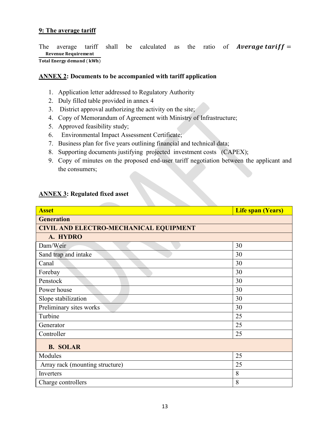#### <span id="page-12-0"></span>**9: The average tariff**

The average tariff shall be calculated as the ratio of **Average tariff** = Revenue Requirement Total Energy demand (kWh)

#### <span id="page-12-1"></span>**ANNEX 2: Documents to be accompanied with tariff application**

- 1. Application letter addressed to Regulatory Authority
- 2. Duly filled table provided in annex 4
- 3. District approval authorizing the activity on the site;
- 4. Copy of Memorandum of Agreement with Ministry of Infrastructure;
- 5. Approved feasibility study;
- 6. Environmental Impact Assessment Certificate;
- 7. Business plan for five years outlining financial and technical data;
- 8. Supporting documents justifying projected investment costs (CAPEX);
- 9. Copy of minutes on the proposed end-user tariff negotiation between the applicant and the consumers;

# <span id="page-12-2"></span>**ANNEX 3: Regulated fixed asset**

| <b>Asset</b>                                  | <b>Life span (Years)</b> |  |  |
|-----------------------------------------------|--------------------------|--|--|
| <b>Generation</b>                             |                          |  |  |
| <b>CIVIL AND ELECTRO-MECHANICAL EQUIPMENT</b> |                          |  |  |
| A. HYDRO                                      |                          |  |  |
| Dam/Weir                                      | 30                       |  |  |
| Sand trap and intake                          | 30                       |  |  |
| Canal                                         | 30                       |  |  |
| Forebay                                       | 30                       |  |  |
| Penstock                                      | 30                       |  |  |
| Power house                                   | 30                       |  |  |
| Slope stabilization                           | 30                       |  |  |
| Preliminary sites works                       | 30                       |  |  |
| Turbine                                       | 25                       |  |  |
| Generator                                     | 25                       |  |  |
| Controller                                    | 25                       |  |  |
| <b>B. SOLAR</b>                               |                          |  |  |
| Modules                                       | 25                       |  |  |
| Array rack (mounting structure)               | 25                       |  |  |
| Inverters                                     | 8                        |  |  |
| Charge controllers                            | 8                        |  |  |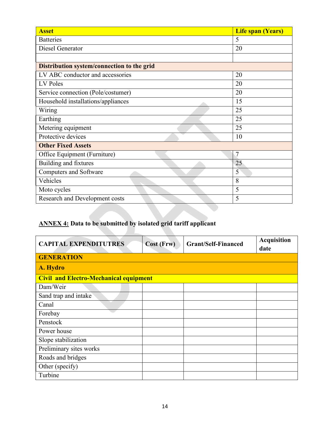| <b>Asset</b>                               | <b>Life span (Years)</b> |
|--------------------------------------------|--------------------------|
| <b>Batteries</b>                           | 5                        |
| Diesel Generator                           | 20                       |
|                                            |                          |
| Distribution system/connection to the grid |                          |
| LV ABC conductor and accessories           | 20                       |
| LV Poles                                   | 20                       |
| Service connection (Pole/costumer)         | 20                       |
| Household installations/appliances         | 15                       |
| Wiring                                     | 25                       |
| Earthing                                   | 25                       |
| Metering equipment                         | 25                       |
| Protective devices                         | 10                       |
| <b>Other Fixed Assets</b>                  |                          |
| Office Equipment (Furniture)               | $\overline{7}$           |
| Building and fixtures                      | 25                       |
| <b>Computers and Software</b>              | 5                        |
| Vehicles                                   | 8                        |
| Moto cycles                                | 5                        |
| Research and Development costs             | 5                        |

# <span id="page-13-0"></span>**ANNEX 4: Data to be submitted by isolated grid tariff applicant**

| <b>CAPITAL EXPENDITUTRES</b>                  | Cost (Frw) | <b>Grant/Self-Financed</b> | <b>Acquisition</b><br>date |
|-----------------------------------------------|------------|----------------------------|----------------------------|
| <b>GENERATION</b>                             |            |                            |                            |
| A. Hydro                                      |            |                            |                            |
| <b>Civil and Electro-Mechanical equipment</b> |            |                            |                            |
| Dam/Weir                                      |            |                            |                            |
| Sand trap and intake                          |            |                            |                            |
| Canal                                         |            |                            |                            |
| Forebay                                       |            |                            |                            |
| Penstock                                      |            |                            |                            |
| Power house                                   |            |                            |                            |
| Slope stabilization                           |            |                            |                            |
| Preliminary sites works                       |            |                            |                            |
| Roads and bridges                             |            |                            |                            |
| Other (specify)                               |            |                            |                            |
| Turbine                                       |            |                            |                            |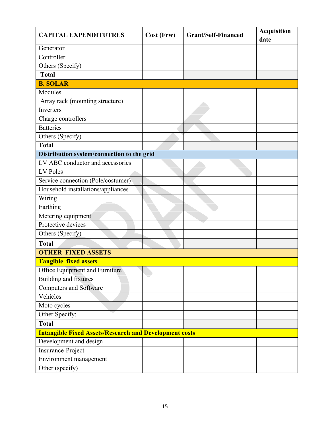| <b>CAPITAL EXPENDITUTRES</b>                                  | Cost (Frw) | <b>Grant/Self-Financed</b> | <b>Acquisition</b><br>date |
|---------------------------------------------------------------|------------|----------------------------|----------------------------|
| Generator                                                     |            |                            |                            |
| Controller                                                    |            |                            |                            |
| Others (Specify)                                              |            |                            |                            |
| <b>Total</b>                                                  |            |                            |                            |
| <b>B. SOLAR</b>                                               |            |                            |                            |
| Modules                                                       |            |                            |                            |
| Array rack (mounting structure)                               |            |                            |                            |
| Inverters                                                     |            |                            |                            |
| Charge controllers                                            |            |                            |                            |
| <b>Batteries</b>                                              |            |                            |                            |
| Others (Specify)                                              |            |                            |                            |
| <b>Total</b>                                                  |            |                            |                            |
| Distribution system/connection to the grid                    |            |                            |                            |
| LV ABC conductor and accessories                              |            |                            |                            |
| LV Poles                                                      |            |                            |                            |
| Service connection (Pole/costumer)                            |            |                            |                            |
| Household installations/appliances                            |            |                            |                            |
| Wiring                                                        |            |                            |                            |
| Earthing                                                      |            |                            |                            |
| Metering equipment                                            |            |                            |                            |
| Protective devices                                            |            |                            |                            |
| Others (Specify)                                              |            |                            |                            |
| <b>Total</b>                                                  |            |                            |                            |
| <b>OTHER FIXED ASSETS</b>                                     |            |                            |                            |
| <b>Tangible fixed assets</b>                                  |            |                            |                            |
| Office Equipment and Furniture                                |            |                            |                            |
| Building and fixtures                                         |            |                            |                            |
| <b>Computers and Software</b>                                 |            |                            |                            |
| Vehicles                                                      |            |                            |                            |
| Moto cycles                                                   |            |                            |                            |
| Other Specify:                                                |            |                            |                            |
| <b>Total</b>                                                  |            |                            |                            |
| <b>Intangible Fixed Assets/Research and Development costs</b> |            |                            |                            |
| Development and design                                        |            |                            |                            |
| Insurance-Project                                             |            |                            |                            |
| Environment management                                        |            |                            |                            |
| Other (specify)                                               |            |                            |                            |